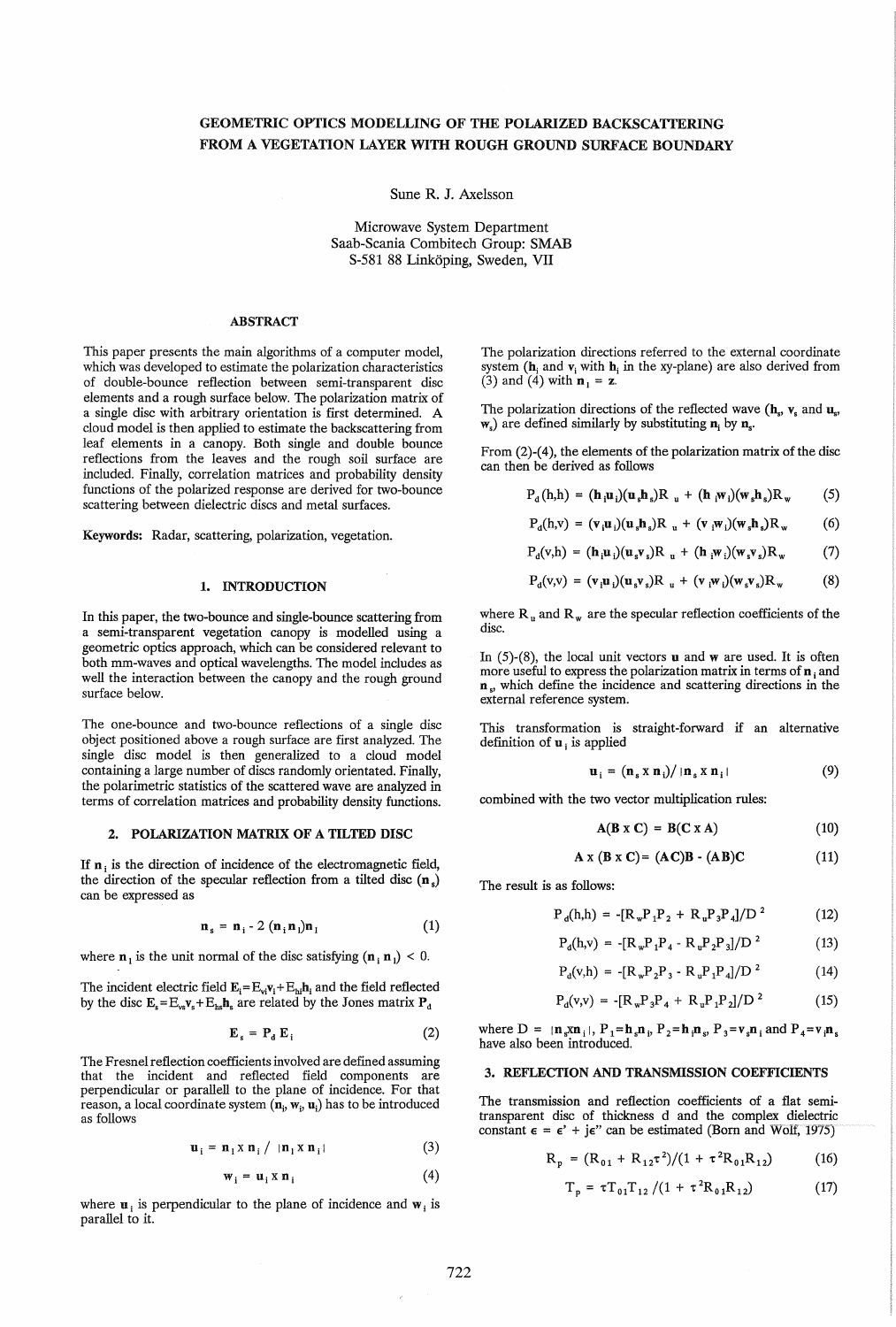# GEOMETRIC OPTICS MODELLING OF THE POLARIZED BACKSCATTERING FROM A VEGETATION LAYER WITH ROUGH GROUND SURFACE BOUNDARY

Sune R. J. Axelsson

Microwave System Department Saab-Scania Combitech Group: SMAB *S-581* 88 Linkoping, Sweden, VII

#### ABSTRACT

This paper presents the main algorithms of a computer model, which was developed to estimate the polarization characteristics of double-bounce reflection between semi-transparent disc elements and a rough surface below. The polarization matrix of a single disc with arbitrary orientation is first determined. A cloud model is then applied to estimate the backscattering from leaf elements in a canopy. Both single and double bounce reflections from the leaves and the rough soil surface are included. Finally, correlation matrices and probability density functions of the polarized response are derived for two-bounce scattering between dielectric discs and metal surfaces.

Keywords: Radar, scattering, polarization, vegetation.

## 1. INTRODUCTION

In this paper, the two-bounce and single-bounce scattering from a semi-transparent vegetation canopy is modelled using a geometric optics approach, which can be considered relevant to both mm-waves and optical wavelengths. The model includes as well the interaction between the canopy and the rough ground surface below.

The one-bounce and two-bounce reflections of a single disc object positioned above a rough surface are first analyzed. The single disc model is then generalized to a cloud model containing a large number of discs randomly orientated. Finally, the polarimetric statistics of the scattered wave are analyzed in terms of correlation matrices and probability density functions.

### 2. POLARIZATION MATRIX OF A TILTED DISC

If  $n_i$  is the direction of incidence of the electromagnetic field, the direction of the specular reflection from a tilted disc  $(n_s)$ can be expressed as

$$
\mathbf{n}_s = \mathbf{n}_i - 2 (\mathbf{n}_i \mathbf{n}_i) \mathbf{n}_i \tag{1}
$$

where  $n_1$  is the unit normal of the disc satisfying  $(n_i n_i) < 0$ .

The incident electric field  $E_i = E_{vi}v_i + E_{hi}h_i$  and the field reflected by the disc  $E_s = E_{vs}v_s + E_{hs}h_s$  are related by the Jones matrix  $P_d$ 

$$
\mathbf{E}_s = \mathbf{P}_d \, \mathbf{E}_i \tag{2}
$$

The Fresnel reflection coefficients involved are defined assuming that the incident and reflected field components are perpendicular or parallell to the plane of incidence. For that reason, a local coordinate system  $(n_i, w_i, u_i)$  has to be introduced as follows

$$
\mathbf{u}_i = \mathbf{n}_1 \times \mathbf{n}_i / ||\mathbf{n}_1 \times \mathbf{n}_i|| \tag{3}
$$

$$
\mathbf{w}_i = \mathbf{u}_i \times \mathbf{n}_i \tag{4}
$$

where  $\mathbf{u}$ , is perpendicular to the plane of incidence and  $\mathbf{w}$ , is parallel to it.

The polarization directions referred to the external coordinate system ( $h_i$  and  $v_i$  with  $h_i$  in the xy-plane) are also derived from (3) and (4) with  $\mathbf{n}_1 = \mathbf{z}$ .

The polarization directions of the reflected wave  $(h_s, v_s, \text{ and } u_s)$  $w_s$ ) are defined similarly by substituting  $n_i$  by  $n_s$ .

From (2)-(4), the elements of the polarization matrix of the disc can then be derived as follows

$$
P_{d}(h,h) = (\mathbf{h}_{i}\mathbf{u}_{i})(\mathbf{u}_{s}\mathbf{h}_{s})R_{u} + (\mathbf{h}_{i}\mathbf{w}_{i})(\mathbf{w}_{s}\mathbf{h}_{s})R_{w}
$$
 (5)

$$
P_{d}(h,v) = (\mathbf{v}_{i}\mathbf{u}_{i})(\mathbf{u}_{s}\mathbf{h}_{s})R_{u} + (\mathbf{v}_{i}\mathbf{w}_{i})(\mathbf{w}_{s}\mathbf{h}_{s})R_{w}
$$
(6)

$$
P_d(v,h) = (\mathbf{h}_i \mathbf{u}_i)(\mathbf{u}_s \mathbf{v}_s) R_u + (\mathbf{h}_i \mathbf{w}_i)(\mathbf{w}_s \mathbf{v}_s) R_w \qquad (7)
$$

$$
P_d(v,v) = (v_i u_i)(u_s v_s)R_u + (v_i w_i)(w_s v_s)R_w
$$
 (8)

where  $R_u$  and  $R_w$  are the specular reflection coefficients of the disc.

In  $(5)-(8)$ , the local unit vectors **u** and **w** are used. It is often more useful to express the polarization matrix in terms of  $n_i$  and  $n_s$ , which define the incidence and scattering directions in the external reference system.

This transformation is straight-forward if an alternative definition of  $\mathbf{u}_i$  is applied

$$
\mathbf{u}_i = (\mathbf{n}_s \times \mathbf{n}_i) / |\mathbf{n}_s \times \mathbf{n}_i| \tag{9}
$$

combined with the two vector multiplication rules:

$$
A(B \times C) = B(C \times A) \tag{10}
$$

$$
A x (B x C) = (AC)B - (AB)C
$$
 (11)

The result is as follows:

$$
P_{d}(h,h) = -[R_{w}P_{1}P_{2} + R_{u}P_{3}P_{4}]/D^{2}
$$
 (12)

$$
P_{d}(h,v) = -[R_w P_1 P_4 - R_w P_2 P_3]/D^2 \qquad (13)
$$

$$
P_{d}(v,h) = -[R_{w}P_{2}P_{3} - R_{u}P_{1}P_{4}]/D^{2}
$$
 (14)

$$
P_{d}(v,v) = -[R_{w}P_{3}P_{4} + R_{u}P_{1}P_{2}]/D^{2}
$$
 (15)

where  $D = \mathbf{n}_s \mathbf{x} \mathbf{n}_i$ ,  $P_1 = \mathbf{h}_s \mathbf{n}_i$ ,  $P_2 = \mathbf{h}_i \mathbf{n}_s$ ,  $P_3 = \mathbf{v}_s \mathbf{n}_i$  and  $P_4 = \mathbf{v}_i \mathbf{n}_s$ have also been introduced.

#### 3. REFLECTION AND TRANSMISSION COEFFICIENTS

The transmission and reflection coefficients of a flat semitransparent disc of thickness d and the complex dielectric constant  $\epsilon = \epsilon' + j\epsilon''$  can be estimated (Born and Wolf, 1975)

$$
R_p = (R_{01} + R_{12}\tau^2)/(1 + \tau^2 R_{01}R_{12})
$$
 (16)

$$
T_p = \tau T_{01} T_{12} / (1 + \tau^2 R_{01} R_{12})
$$
 (17)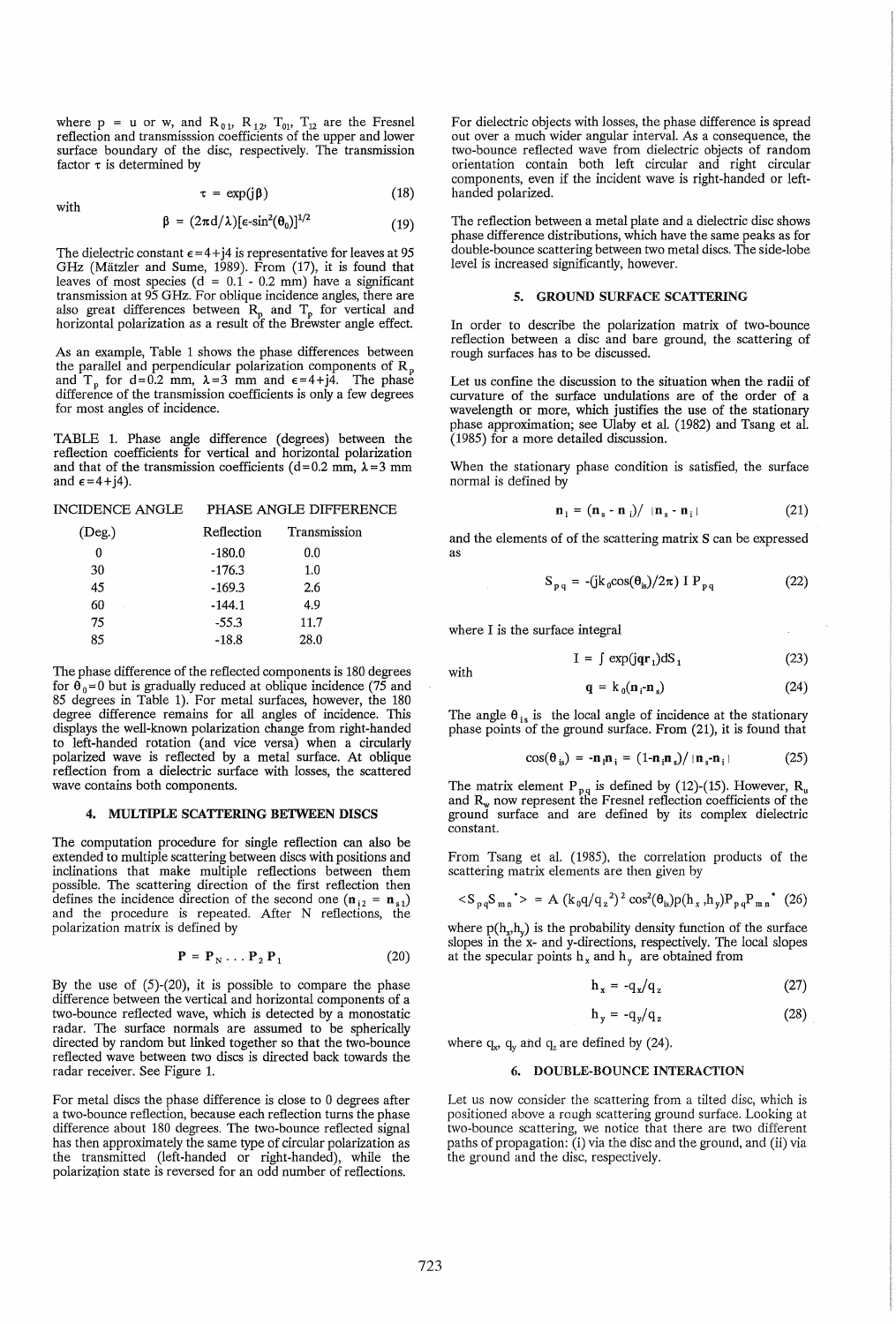where  $p = u$  or w, and  $R_{01}$ ,  $R_{12}$ ,  $T_{01}$ ,  $T_{12}$  are the Fresnel reflection and transmisssion coefficients of the upper and lower surface boundary of the disc, respectively. The transmission factor  $\tau$  is determined by

with

$$
\tau = \exp(j\beta) \tag{18}
$$

$$
\beta = (2\pi d/\lambda)[\epsilon \text{-} \sin^2(\theta_0)]^{1/2} \tag{19}
$$

The dielectric constant  $\epsilon = 4 + i4$  is representative for leaves at 95 GHz (Mätzler and Sume, 1989). From (17), it is found that leaves of most species (d = 0.1 - 0.2 mm) have a significant transmission at 95 GHz. For oblique incidence angles, there are also great differences between  $R_p$  and  $T_p$  for vertical and horizontal polarization as a result of the Brewster angle effect.

As an example, Table 1 shows the phase differences between the parallel and perpendicular polarization components of  $R_p$ and T<sub>p</sub> for d=0.2 mm,  $\lambda = 3$  mm and  $\epsilon = 4 + j4$ . The phase difference of the transmission coefficients is only a few degrees for most angles of incidence.

TABLE 1. Phase angle difference (degrees) between the reflection coefficients for vertical and horizontal polarization and that of the transmission coefficients (d=0.2 mm,  $\lambda$ =3 mm and  $\epsilon = 4 + j4$ ).

INCIDENCE ANGLE PHASE ANGLE DIFFERENCE

| $($ Deg. $)$ | Reflection | Transmission |
|--------------|------------|--------------|
| 0            | $-180.0$   | 0.0          |
| 30           | $-176.3$   | 1.0          |
| 45           | $-169.3$   | 2.6          |
| 60           | $-144.1$   | 4.9          |
| 75           | $-55.3$    | 11.7         |
| 85           | $-18.8$    | 28.0         |

The phase difference of the reflected components is 180 degrees for  $\hat{\theta}_0 = 0$  but is gradually reduced at oblique incidence (75 and 85 degrees in Table 1). For metal surfaces, however, the 180 degree difference remains for all angles of incidence. This displays the well-known polarization change from right-handed to left-handed rotation (and vice versa) when a circularly polarized wave is reflected by a metal surface. At oblique reflection from a dielectric surface with losses, the scattered wave contains both components.

## 4. MULTIPLE SCATTERING BETWEEN DISCS

The computation procedure for single reflection can also be extended to multiple scattering between discs with positions and inclinations that make multiple reflections between them possible. The scattering direction of the first reflection then defines the incidence direction of the second one  $(n_{i2} = n_{s1})$ and the procedure is repeated. After N reflections, the polarization matrix is defined by

$$
\mathbf{P} = \mathbf{P}_N \dots \mathbf{P}_2 \mathbf{P}_1 \tag{20}
$$

By the use of  $(5)-(20)$ , it is possible to compare the phase difference between the vertical and horizontal components of a two-bounce reflected wave, which is detected by a monostatic radar. The surface normals are assumed to be spherically directed by random but linked together so that the two-bounce reflected wave between two discs is directed back towards the radar receiver. See Figure 1.

For metal discs the phase difference is close to 0 degrees after a two-bounce reflection, because each reflection turns the phase difference about 180 degrees. The two-bounce reflected signal has then approximately the same type of circular polarization as the transmitted (left-handed or right-handed), while the polarization state is reversed for an odd number of reflections.

For dielectric objects with losses, the phase difference is spread out over a much wider angular interval. As a consequence, the two-bounce reflected wave from dielectric objects of random orientation contain both left circular and right circular components, even if the incident wave is right-handed or lefthanded polarized.

The reflection between a metal plate and a dielectric disc shows phase difference distributions, which have the same peaks as for double-bounce scattering between two metal discs. The side-lobe level is increased significantly, however.

## 5. GROUND SURFACE SCATTERING

In order to describe the polarization matrix of two-bounce reflection between a disc and bare ground, the scattering of rough surfaces has to be discussed.

Let us confine the discussion to the situation when the radii of curvature of the surface undulations are of the order of a wavelength or more, which justifies the use of the stationary phase approximation; see Ulaby et al. (1982) and Tsang et al. (1985) for a more detailed discussion.

When the stationary phase condition is satisfied, the surface normal is defined by

$$
\mathbf{n}_1 = (\mathbf{n}_s - \mathbf{n}_i) / ||\mathbf{n}_s - \mathbf{n}_i|| \tag{21}
$$

and the elements of of the scattering matrix S can be expressed as

$$
S_{pq} = -(\mathrm{j}k_0 \cos(\theta_{is})/2\pi) \mathbb{I} P_{pq} \tag{22}
$$

where I is the surface integral

with

 $I = \int \exp(iar_1)dS_1$ (23)

$$
\mathbf{q} = k_0(\mathbf{n}_i \cdot \mathbf{n}_s) \tag{24}
$$

The angle  $\theta_{is}$  is the local angle of incidence at the stationary phase points of the ground surface. From (21), it is found that

$$
\cos(\theta_{is}) = -\mathbf{n}_i \mathbf{n}_i = (1 - \mathbf{n}_i \mathbf{n}_s) / |\mathbf{n}_s - \mathbf{n}_i|
$$
 (25)

The matrix element  $P_{p,q}$  is defined by (12)-(15). However,  $R_u$ and  $R_w$  now represent the Fresnel reflection coefficients of the ground surface and are defined by its complex dielectric constant.

From Tsang et al. (1985), the correlation products of the scattering matrix elements are then given by

$$
\langle S_{pq} S_{mn}^* \rangle = A (k_0 q / q_z^2)^2 \cos^2(\theta_{is}) p(h_x, h_y) P_{pq} P_{mn}^* (26)
$$

where  $p(h_x,h_y)$  is the probability density function of the surface slopes in the x- and y-directions, respectively. The local slopes at the specular points  $h_x$  and  $h_y$  are obtained from

$$
h_x = -q_x/q_z \tag{27}
$$

$$
h_{\nu} = -q_{\nu}/q_{z} \tag{28}
$$

where  $q_x$ ,  $q_y$  and  $q_z$  are defined by (24).

#### 6. DOUBLE-BOUNCE INTERACTION

Let us now consider the scattering from a tilted disc, which is positioned above a rough scattering ground surface. Looking at two-bounce scattering, we notice that there are two different paths of propagation: (i) via the disc and the ground, and (ii) via the ground and the disc, respectively.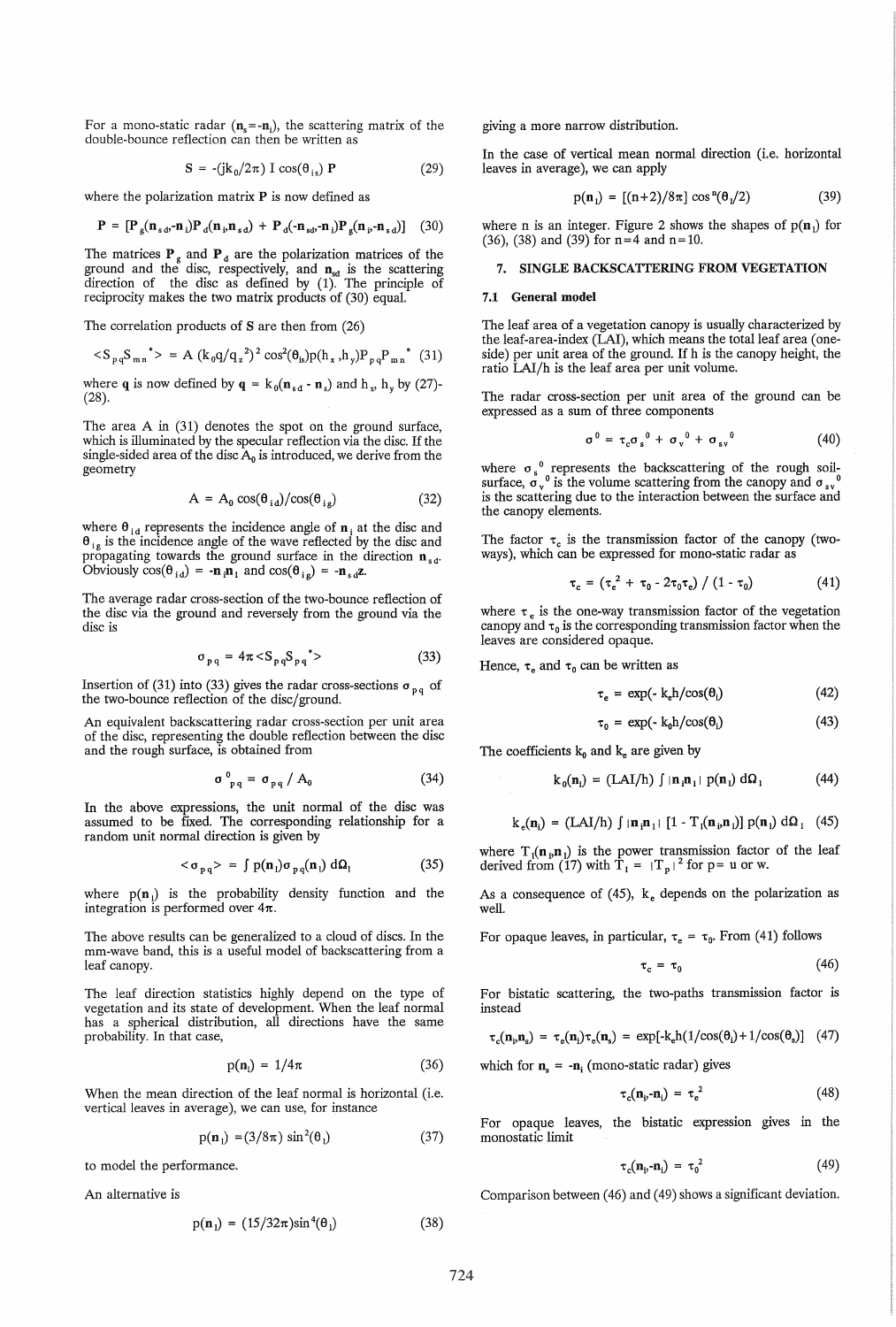For a mono-static radar  $(n_s = -n_i)$ , the scattering matrix of the double-bounce reflection can then be written as

$$
\mathbf{S} = -(\mathbf{j}k_0/2\pi) \mathbf{I} \cos(\theta_{is}) \mathbf{P} \tag{29}
$$

where the polarization matrix  $P$  is now defined as

$$
\mathbf{P} = [\mathbf{P}_{g}(\mathbf{n}_{s\cdot\boldsymbol{\theta}} - \mathbf{n}_{i}) \mathbf{P}_{d}(\mathbf{n}_{i}, \mathbf{n}_{s\cdot\boldsymbol{\theta}}) + \mathbf{P}_{d}(-\mathbf{n}_{s\cdot\boldsymbol{\theta}} - \mathbf{n}_{i}) \mathbf{P}_{g}(\mathbf{n}_{i}, -\mathbf{n}_{s\cdot\boldsymbol{\theta}})] \quad (30)
$$

The matrices  $P_{g}$  and  $P_{d}$  are the polarization matrices of the ground and the disc, respectively, and  $n_{sd}$  is the scattering direction of the disc as defined by (1). The principle of reciprocity makes the two matrix products of (30) equal.

The correlation products of S are then from (26)

$$
\langle S_{pq} S_{mn}^{\quad \, *}\rangle \, = \, A \, \left(k_{q} q / q_{z}^{2}\right)^{2} \cos^{2}(\theta_{is}) p(h_{x}, h_{y}) P_{pq} P_{mn}^{\quad \, *}\,\, (31)
$$

where q is now defined by  $q = k_0(n_{sd} - n_s)$  and  $h_x$ ,  $h_y$  by (27)-(28).

The area A in (31) denotes the spot on the ground surface, which is illuminated by the specular reflection via the disc. If the single-sided area of the disc  $A_0$  is introduced, we derive from the geometry

$$
A = A_0 \cos(\theta_{id}) / \cos(\theta_{ig})
$$
 (32)

where  $\theta_{id}$  represents the incidence angle of  $n_i$  at the disc and  $\theta_{i}$  is the incidence angle of the wave reflected by the disc and propagating towards the ground surface in the direction  $\mathbf{n}_{sd}$ . Obviously  $cos(\theta_{id}) = -n_i n_i$  and  $cos(\theta_{ig}) = -n_{sd} z$ .

The average radar cross-section of the two-bounce reflection of the disc via the ground and reversely from the ground via the disc is

$$
\sigma_{pq} = 4\pi \langle S_{pq} S_{pq}^* \rangle \tag{33}
$$

Insertion of (31) into (33) gives the radar cross-sections  $\sigma_{pq}$  of the two-bounce reflection of the disc/ground.

An equivalent backscattering radar cross-section per unit area of the disc, representing the double reflection between the disc and the rough surface, is obtained from

$$
\sigma_{pq}^0 = \sigma_{pq} / A_0 \tag{34}
$$

In the above expressions, the unit normal of the disc was assumed to be fixed. The corresponding relationship for a random unit normal direction is given by

$$
\langle \sigma_{pq} \rangle = \int p(\mathbf{n}_1) \sigma_{pq}(\mathbf{n}_1) \, d\Omega_1 \tag{35}
$$

where  $p(n_1)$  is the probability density function and the integration is performed over  $4\pi$ .

The above results can be generalized to a cloud of discs. In the mm-wave band, this is a useful model of backscattering from a leaf canopy.

The leaf direction statistics highly depend on the type of vegetation and its state of development. When the leaf normal has a spherical distribution, all directions have the same probability. In that case,

$$
p(\mathbf{n}_i) = 1/4\pi \tag{36}
$$

When the mean direction of the leaf normal is horizontal (i.e. vertical leaves in average), we can use, for instance

$$
p(\mathbf{n}_1) = (3/8\pi) \sin^2(\theta_1) \tag{37}
$$

to model the performance.

An alternative is

$$
p(\mathbf{n}_1) = (15/32\pi)\sin^4(\theta_1) \tag{38}
$$

giving a more narrow distribution.

In the case of vertical mean normal direction (i.e. horizontal leaves in average), we can apply

$$
p(n_1) = [(n+2)/8\pi] \cos^{n}(\theta_1/2)
$$
 (39)

where n is an integer. Figure 2 shows the shapes of  $p(n_1)$  for (36), (38) and (39) for  $n=4$  and  $n=10$ .

### 7. SINGLE BACKSCATIERING FROM VEGETATION

#### 7.1 General model

The leaf area of a vegetation canopy is usually characterized by the leaf-area-index (LAI), which means the total leaf area (oneside) per unit area of the ground. If h is the canopy height, the ratio LAI/h is the leaf area per unit volume.

The radar cross-section per unit area of the ground can be expressed as a sum of three components

$$
\sigma^0 = \tau_c \sigma_s^0 + \sigma_v^0 + \sigma_{sv}^0 \tag{40}
$$

where  $\sigma_s$ <sup>0</sup> represents the backscattering of the rough soilsurface,  $\sigma_v^0$  is the volume scattering from the canopy and  $\sigma_{sv}^0$ is the scattering due to the interaction between the surface and the canopy elements.

The factor  $\tau_c$  is the transmission factor of the canopy (twoways), which can be expressed for mono-static radar as

$$
\tau_c = \left(\tau_e^2 + \tau_0 - 2\tau_0 \tau_e\right) / \left(1 - \tau_0\right) \tag{41}
$$

where  $\tau_e$  is the one-way transmission factor of the vegetation canopy and  $\tau_0$  is the corresponding transmission factor when the leaves are considered opaque.

Hence,  $\tau_e$  and  $\tau_0$  can be written as

$$
\tau_e = \exp(-k_e h / \cos(\theta_i) \tag{42}
$$

$$
\tau_0 = \exp(-k_0 h / \cos(\theta_i) \tag{43}
$$

The coefficients  $k_0$  and  $k_e$  are given by

$$
k_0(\mathbf{n}_i) = (LAI/h) \int |\mathbf{n}_i \mathbf{n}_i| p(\mathbf{n}_i) d\Omega_i \tag{44}
$$

$$
k_e(\mathbf{n}_i) = (LAI/h) \int |\mathbf{n}_i \mathbf{n}_1| [1 - T_i(\mathbf{n}_i, \mathbf{n}_1)] p(\mathbf{n}_1) d\Omega_1 \quad (45)
$$

where  $T_1(n_p, n_l)$  is the power transmission factor of the leaf derived from (17) with  $T_1 = |T_p|^2$  for p= u or w.

As a consequence of  $(45)$ , k<sub>e</sub> depends on the polarization as well.

For opaque leaves, in particular,  $\tau_e = \tau_0$ . From (41) follows

τ,

$$
= \tau_0 \tag{46}
$$

For bistatic scattering, the two-paths transmission factor is instead

$$
\tau_c(\mathbf{n}_i, \mathbf{n}_s) = \tau_e(\mathbf{n}_i)\tau_e(\mathbf{n}_s) = \exp[-k_e h(1/\cos(\theta_i) + 1/\cos(\theta_s)] \quad (47)
$$

which for  $n_s = -n_i$  (mono-static radar) gives

$$
\tau_c(\mathbf{n}_i - \mathbf{n}_i) = \tau_e^2 \tag{48}
$$

For opaque leaves, the bistatic expression gives in the monostatic limit

$$
\tau_c(\mathbf{n}_i - \mathbf{n}_i) = \tau_0^2 \tag{49}
$$

Comparison between (46) and (49) shows a significant deviation.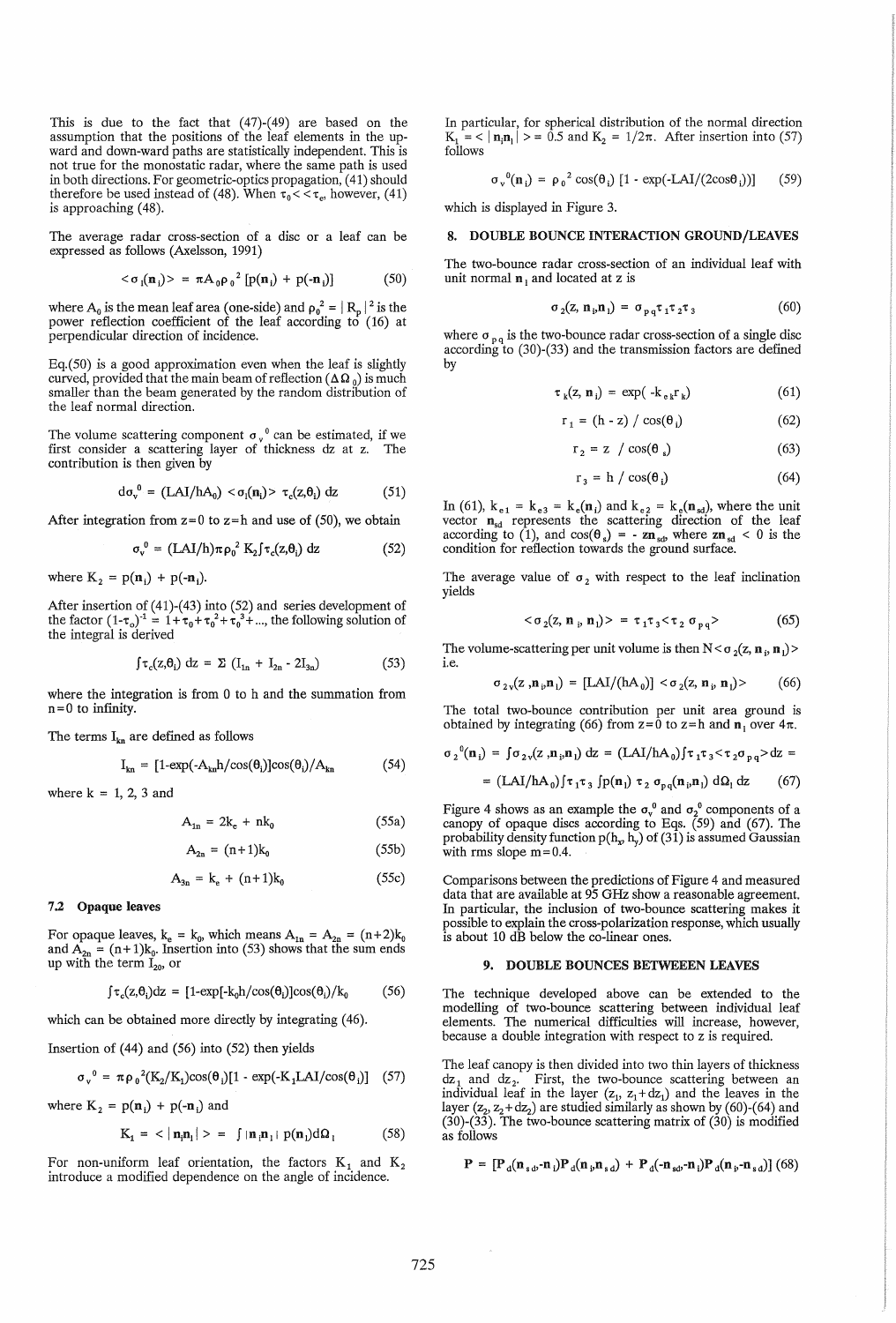This is due to the fact that (47)-(49) are based on the assumption that the positions of the leaf elements in the upward and down-ward paths are statistically independent. This is not true for the monostatic radar, where the same path is used in both directions. For geometric-optics propagation, (41) should therefore be used instead of (48). When  $\tau_0 \lt \lt \tau_e$ , however, (41) is approaching (48).

The average radar cross-section of a disc or a leaf can be expressed as follows (Axelsson, 1991)

$$
\langle \sigma_{1}(\mathbf{n}_{i}) \rangle = \pi A_{0} \rho_{0}^{2} \left[ p(\mathbf{n}_{i}) + p(-\mathbf{n}_{i}) \right] \tag{50}
$$

where  $A_0$  is the mean leaf area (one-side) and  $\rho_0^2 = |R_p|^2$  is the power reflection coefficient of the leaf according to (16) at perpendicular direction of incidence.

Eq.(50) is a good approximation even when the leaf is slightly curved, provided that the main beam of reflection ( $\Delta\Omega_0$ ) is much smaller than the beam generated by the random distribution of the leaf normal direction.

The volume scattering component  $\sigma_{\nu}^{\ 0}$  can be estimated, if we first consider a scattering layer of thickness dz at z. The contribution is then given by

$$
d\sigma_v^0 = (LAI/hA_0) < \sigma_l(n_i) > \tau_c(z, \theta_i) dz
$$
 (51)

After integration from  $z=0$  to  $z=h$  and use of (50), we obtain

$$
\sigma_v^0 = (LAI/h)\pi \rho_0^2 K_2 f \tau_c(z, \theta_i) dz
$$
 (52)

where  $K_2 = p(n_i) + p(-n_i)$ .

After insertion of (41)-(43) into (52) and series development of the factor  $(1-\tau_0)^{-1} = 1 + \tau_0 + {\tau_0}^2 + {\tau_0}^3 + ...$ , the following solution of the integral is derived

$$
\int \tau_c(z, \theta_i) dz = \Sigma \left( I_{1n} + I_{2n} - 2I_{3n} \right) \tag{53}
$$

where the integration is from 0 to h and the summation from  $n = 0$  to infinity.

The terms  $I_{kn}$  are defined as follows

$$
I_{kn} = [1-\exp(-A_{kn}h/\cos(\theta_i)]\cos(\theta_i)/A_{kn} \qquad (54)
$$

where  $k = 1, 2, 3$  and

$$
A_{1n} = 2k_e + nk_0 \tag{55a}
$$

$$
A_{2n} = (n+1)k_0 \t\t(55b)
$$

 $(FF)$ 

$$
A_{3n} = k_e + (n+1)k_0 \tag{55c}
$$

# 7.2 Opaque leaves

For opaque leaves,  $k_e = k_0$ , which means  $A_{1n} = A_{2n} = (n+2)k_0$ and  $\hat{A}_{2n} = (n+1)k_0$ . Insertion into (53) shows that the sum ends up with the term  $I_{20}$ , or

$$
\int \tau_c(z,\theta_i) dz = [1-\exp[-k_0 h/\cos(\theta_i)]\cos(\theta_i)/k_0 \qquad (56)
$$

which can be obtained more directly by integrating (46).

Insertion of (44) and (56) into (52) then yields

$$
\sigma_v^0 = \pi \rho_0^2 (K_2/K_1) \cos(\theta_1) [1 - \exp(-K_1 LAI/\cos(\theta_1)] \quad (57)
$$

where  $K_2 = p(n_i) + p(-n_i)$  and

$$
K_1 = \langle |\mathbf{n}_i \mathbf{n}_1| \rangle = \int |\mathbf{n}_i \mathbf{n}_1| p(\mathbf{n}_1) d\Omega_1 \tag{58}
$$

For non-uniform leaf orientation, the factors  $K_1$  and  $K_2$  introduce a modified dependence on the angle of incidence.

In particular, for spherical distribution of the normal direction  $K_1 = \langle |\mathbf{n}_i \mathbf{n}_1| \rangle = 0.5$  and  $K_2 = 1/2\pi$ . After insertion into (57) follows

$$
\sigma_{\nu}^0(\mathbf{n}_i) = \rho_0^2 \cos(\theta_i) \left[1 - \exp(-LAI/(2\cos\theta_i))\right] \qquad (59)
$$

which is displayed in Figure 3.

#### 8. DOUBLE BOUNCE INTERACTION GROUND/LEAVES

The two-bounce radar cross-section of an individual leaf with unit normal  $\mathbf{n}_1$  and located at z is

$$
\sigma_2(z, n_{i}, n_{i}) = \sigma_{p_{i}, q} \tau_1 \tau_2 \tau_3 \tag{60}
$$

where  $\sigma_{p,q}$  is the two-bounce radar cross-section of a single disc according to (30)-(33) and the transmission factors are defined by

$$
\tau_{k}(z, n_{i}) = \exp(-k_{ek}r_{k}) \qquad (61)
$$

$$
r_1 = (h - z) / \cos(\theta_i) \tag{62}
$$

$$
r_2 = z / \cos(\theta_s) \tag{63}
$$

$$
r_3 = h / \cos(\theta_i) \tag{64}
$$

In (61),  $k_{e1} = k_{e3} = k_e(n_i)$  and  $k_{e2} = k_e(n_{sd})$ , where the unit vector  $n_{sd}$  represents the scattering direction of the leaf according to (1), and  $cos(\theta_s) = -\mathbf{z}\mathbf{n}_{sd}$  where  $\mathbf{z}\mathbf{n}_{sd} < 0$  is the condition for reflection towards the ground surface.

The average value of  $\sigma_2$  with respect to the leaf inclination yields

$$
\langle \sigma_2(z, \mathbf{n}_p, \mathbf{n}_1) \rangle = \tau_1 \tau_3 \langle \tau_2 \sigma_{pq} \rangle \tag{65}
$$

The volume-scattering per unit volume is then  $N < \sigma_2(z, n_i, n_l)$ i.e.

$$
\sigma_{2\nu}(z, \mathbf{n}_{\nu}, \mathbf{n}_{\nu}) = [LAI/(hA_0)] < \sigma_2(z, \mathbf{n}_{\nu}, \mathbf{n}_{\nu})
$$
 (66)

The total two-bounce contribution per unit area ground is obtained by integrating (66) from  $z=0$  to  $z=h$  and  $n_1$  over  $4\pi$ .

$$
\sigma_2^0(\mathbf{n}_i) = \int \sigma_2 \sqrt{z} \cdot \mathbf{n}_i \cdot \mathbf{n}_i \, dz = (\text{LAI}/\text{hA}_0) \int \tau_1 \tau_3 < \tau_2 \sigma_{pq} > dz =
$$
\n
$$
= (\text{LAI}/\text{hA}_0) \int \tau_1 \tau_3 \int p(\mathbf{n}_i) \tau_2 \sigma_{pq}(\mathbf{n}_i \cdot \mathbf{n}_i) \, d\Omega_i \, dz \tag{67}
$$

Figure 4 shows as an example the  $\sigma_v^0$  and  $\sigma_2^0$  components of a canopy of opaque discs according to Eqs. (59) and (67). The probability density function  $p(h_x h_y)$  of (31) is assumed Gaussian with rms slope  $m = 0.4$ .

Comparisons between the predictions of Figure 4 and measured data that are available at 95 GHz show a reasonable agreement. In particular, the inclusion of two-bounce scattering makes it possible to explain the cross-polarization response, which usually is about 10 dB below the co-linear ones.

### 9. DOUBLE BOUNCES BETWEEEN LEAVES

The technique developed above can be extended to the modelling of two-bounce scattering between individual leaf elements. The numerical difficulties will increase, however, because a double integration with respect to z is required.

The leaf canopy is then divided into two thin layers of thickness  $dz_1$  and  $dz_2$ . First, the two-bounce scattering between an individual leaf in the layer  $(z_1, z_1 + dz_1)$  and the leaves in the layer  $(z_2, z_2 + dz_2)$  are studied similarly as shown by (60)-(64) and (30)-(33). The two-bounce scattering matrix of (30) is modified as follows

$$
\mathbf{P} = \left[\mathbf{P}_d(\mathbf{n}_{sd}, \mathbf{n}_i)\mathbf{P}_d(\mathbf{n}_{i}, \mathbf{n}_{sd}) + \mathbf{P}_d(\mathbf{n}_{sd}, \mathbf{n}_i)\mathbf{P}_d(\mathbf{n}_{i}, \mathbf{n}_{sd})\right] (68)
$$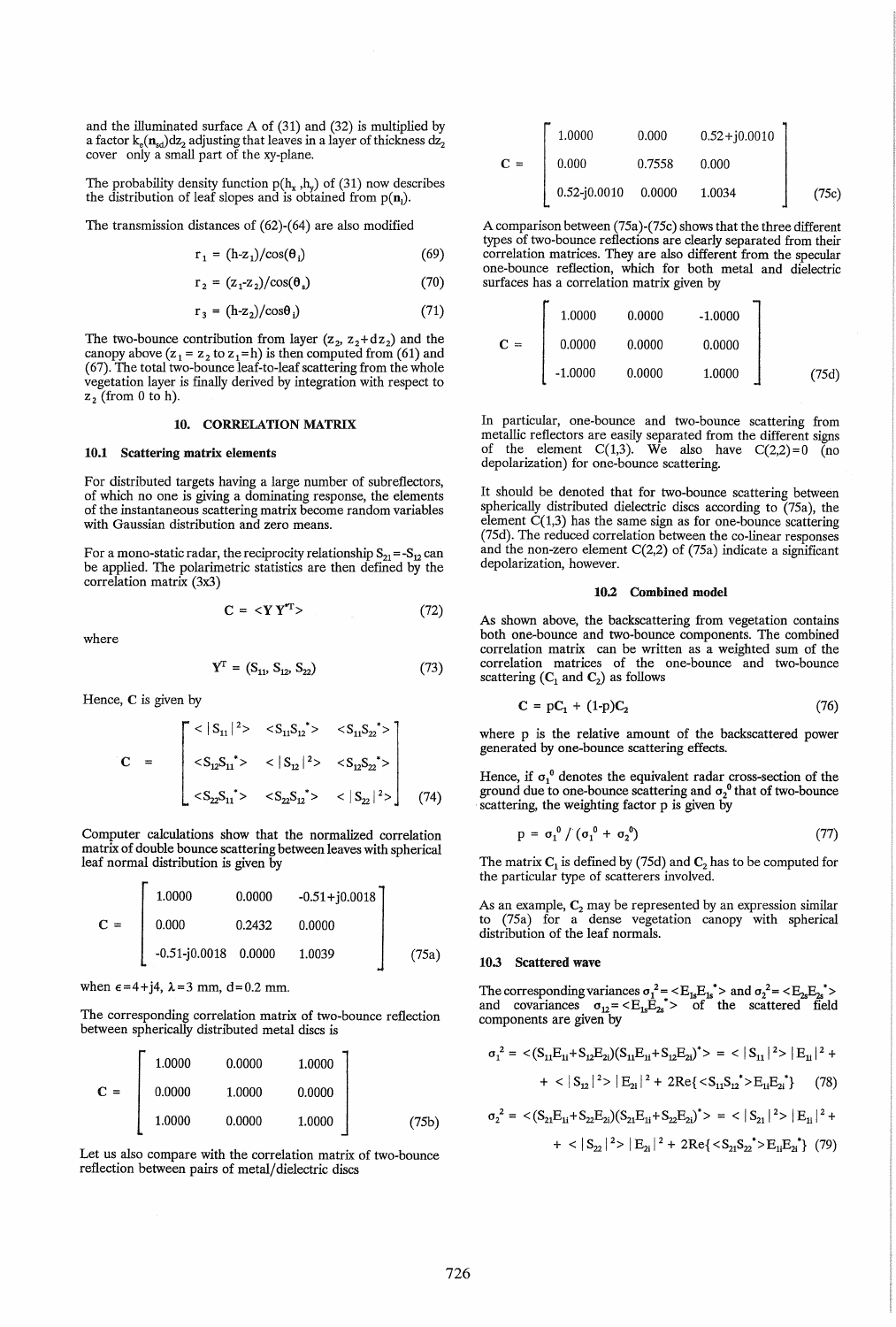and the illuminated surface A of (31) and (32) is multiplied by a factor  $k_e(n_{sd})dz_2$  adjusting that leaves in a layer of thickness  $dz_2$  cover only a small part of the xy-plane.

The probability density function  $p(h_x, h_y)$  of (31) now describes the distribution of leaf slopes and is obtained from  $p(n_1)$ .

The transmission distances of (62)-(64) are also modified

$$
r_1 = (h-z_1)/\cos(\theta_i) \tag{69}
$$

$$
r_2 = (z_1 - z_2) / \cos(\theta_s) \tag{70}
$$

$$
r_3 = (h-z_2)/\cos\theta_i \tag{71}
$$

The two-bounce contribution from layer  $(z_2, z_2+dz_2)$  and the canopy above  $(z_1 = z_2$  to  $z_1 = h$ ) is then computed from (61) and (67). The total two-bounce leaf-to-Ieaf scattering from the whole vegetation layer is finally derived by integration with respect to  $z_2$  (from 0 to h).

### 10. CORRELATION MATRIX

#### 10.1 Scattering matrix elements

For distributed targets having a large number of subreflectors, of which no one is giving a dominating response, the elements of the instantaneous scattering matrix become random variables with Gaussian distribution and zero means.

For a mono-static radar, the reciprocity relationship  $S_{21} = -S_{12}$  can be applied. The polarimetric statistics are then defined by the correlation matrix (3x3)

$$
\mathbf{C} = \langle \mathbf{Y} \, \mathbf{Y}^{\ast} \rangle \tag{72}
$$

where

$$
Y^{\mathrm{T}} = (S_{11}, S_{12}, S_{22}) \tag{73}
$$

Hence, C is given by

$$
C = \begin{bmatrix} < |S_{11}|^2 > < S_{11}S_{12} > < S_{11}S_{22} > \\ < S_{12}S_{11} > < |S_{12}|^2 > < S_{12}S_{22} > \\ < S_{22}S_{11} > < S_{22}S_{12} > < |S_{22}|^2 > \end{bmatrix} \tag{74}
$$

Computer calculations show that the normalized correlation matrix of double bounce scattering between leaves with spherical leaf normal distribution is given by

$$
\mathbf{C} = \begin{bmatrix} 1.0000 & 0.0000 & -0.51 + j0.0018 \\ 0.000 & 0.2432 & 0.0000 \\ -0.51 - j0.0018 & 0.0000 & 1.0039 \end{bmatrix}
$$
 (75a)

when  $\epsilon = 4 + j4$ ,  $\lambda = 3$  mm, d=0.2 mm.

The corresponding correlation matrix of two-bounce reflection between spherically distributed metal discs is

$$
\mathbf{C} = \begin{bmatrix} 1.0000 & 0.0000 & 1.0000 \\ 0.0000 & 1.0000 & 0.0000 \\ 1.0000 & 0.0000 & 1.0000 \end{bmatrix}
$$
(75b)

Let us also compare with the correlation matrix of two-bounce reflection between pairs of metal/dielectric discs

|       | 1.0000           | 0.000  | $0.52 + j0.0010$ |       |
|-------|------------------|--------|------------------|-------|
| $C =$ | 0.000            | 0.7558 | 0.000            |       |
|       | $0.52 - j0.0010$ | 0.0000 | 1.0034           | (75c) |

A comparison between (75a )-(75c) shows that the three different types of two-bounce reflections are clearly separated from their correlation matrices. They are also different from the specular surfaces has a correlation matrix given by

|       |           | surfaces has a correlation matrix given by |           | one-bounce reflection, which for both metal and dielectric |
|-------|-----------|--------------------------------------------|-----------|------------------------------------------------------------|
|       | 1.0000    | 0.0000                                     | $-1.0000$ |                                                            |
| $C =$ | 0.0000    | 0.0000                                     | 0.0000    |                                                            |
|       | $-1.0000$ | 0.0000                                     | 1.0000    | (75d)                                                      |

In particular, one-bounce and two-bounce scattering from metallic reflectors are easily separated from the different signs of the element  $C(1,3)$ . We also have  $C(2,2)=0$  (no depolarization) for one-bounce scattering.

It should be denoted that for two-bounce scattering between spherically distributed dielectric discs according to (75a), the element  $C(1,3)$  has the same sign as for one-bounce scattering (75d). The reduced correlation between the co-linear responses and the non-zero element  $C(2,2)$  of  $(75a)$  indicate a significant depolarization, however.

#### 10.2 Combined model

As shown above, the backscattering from vegetation contains both one-bounce and two-bounce components. The combined correlation matrix can be written as a weighted sum of the correlation matrices of the one-bounce and two-bounce scattering  $(C_1 \text{ and } C_2)$  as follows

$$
\mathbf{C} = \mathbf{p}\mathbf{C}_1 + (1-\mathbf{p})\mathbf{C}_2 \tag{76}
$$

where p is the relative amount of the backscattered power generated by one-bounce scattering effects.

Hence, if  $\sigma_1^0$  denotes the equivalent radar cross-section of the ground due to one-bounce scattering and  $\sigma_2^0$  that of two-bounce scattering, the weighting factor p is given by

$$
\sigma_1 = \sigma_1^0 / (\sigma_1^0 + \sigma_2^0) \tag{77}
$$

The matrix  $C_1$  is defined by (75d) and  $C_2$  has to be computed for the particular type of scatterers involved.

As an example,  $C_2$  may be represented by an expression similar to  $(75a)$  for a dense vegetation canopy with spherical distribution of the leaf normals.

#### 10.3 Scattered wave

The corresponding variances  $\sigma_1^2 = \langle E_{1s} E_{1s}^* \rangle$  and  $\sigma_2^2 = \langle E_{2s} E_{2s}^* \rangle$ and covariances  $\sigma_{12} = \langle E_{1s} E_{2s} \rangle$  of the scattered field components are given by

$$
\sigma_1^2 = \langle (S_{11}E_{1i} + S_{12}E_{2i})(S_{11}E_{1i} + S_{12}E_{2i})^* \rangle = \langle |S_{11}|^2 \rangle |E_{1i}|^2 +
$$

$$
+ \langle |S_{12}|^2 \rangle |E_{2i}|^2 + 2Re\{\langle S_{11}S_{12}^* \rangle E_{1i}E_{2i}^*\} \qquad (78)
$$

$$
\sigma_2^2 = \langle (S_{21}E_{1i} + S_{22}E_{2i})(S_{21}E_{1i} + S_{22}E_{2i})^* \rangle = \langle |S_{21}|^2 \rangle |E_{1i}|^2 +
$$
  
+  $\langle |S_{22}|^2 \rangle |E_{2i}|^2 + 2Re\{\langle S_{21}S_{22} \rangle E_{1i}E_{2i} \rangle \tag{79}$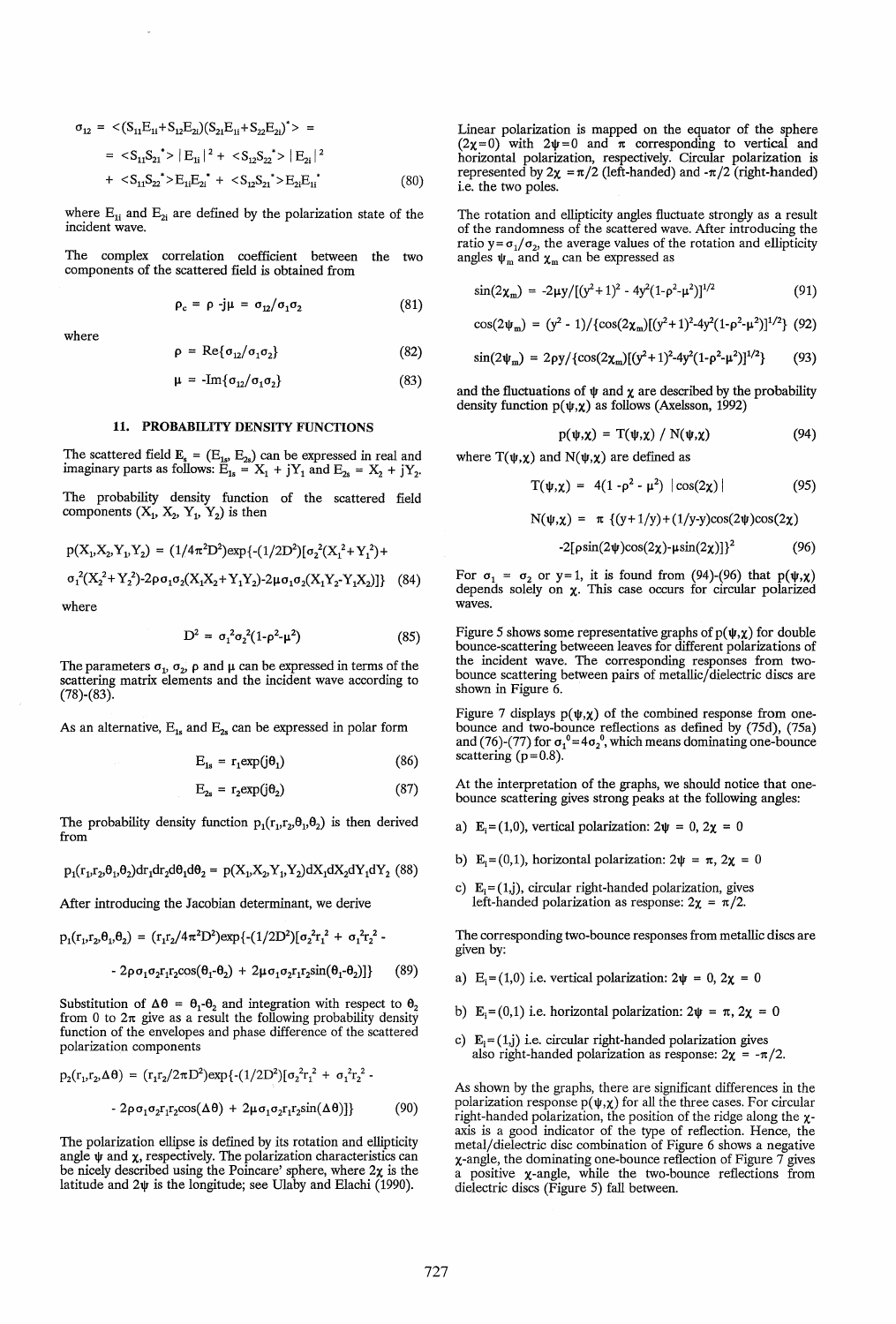$$
\sigma_{12} = \langle (S_{11}E_{1i} + S_{12}E_{2i})(S_{21}E_{1i} + S_{22}E_{2i})^* \rangle =
$$
  
=  $\langle S_{11}S_{21}^* \rangle |E_{1i}|^2 + \langle S_{12}S_{22}^* \rangle |E_{2i}|^2$   
+  $\langle S_{11}S_{22}^* \rangle E_{11}E_{2i}^* + \langle S_{12}S_{21}^* \rangle E_{21}E_{1i}^*$  (80)

where  $E_{1i}$  and  $E_{2i}$  are defined by the polarization state of the incident wave.

The complex correlation coefficient between the two components of the scattered field is obtained from

 $\rho = \text{Re}\{\sigma_{12}/\sigma_1\sigma_2\}$ 

$$
\rho_c = \rho - j\mu = \sigma_{12}/\sigma_1\sigma_2 \tag{81}
$$

(82)

where

$$
\mu = -\text{Im}\{\sigma_{12}/\sigma_1\sigma_2\} \tag{83}
$$

#### 11. PROBABILITY DENSITY FUNCTIONS

The scattered field  $E_s = (E_{1s}, E_{2s})$  can be expressed in real and imaginary parts as follows:  $E_{1s} = X_1 + jY_1$  and  $E_{2s} = X_2 + jY_2$ .

The probability density function of the scattered field components  $(X_1, X_2, Y_1, Y_2)$  is then

$$
p(X_1, X_2, Y_1, Y_2) = (1/4\pi^2 D^2) \exp\{- (1/2D^2) [\sigma_2^2 (X_1^2 + Y_1^2) + \sigma_1^2 (X_2^2 + Y_2^2) - 2\rho \sigma_1 \sigma_2 (X_1 X_2 + Y_1 Y_2) - 2\mu \sigma_1 \sigma_2 (X_1 Y_2 - Y_1 X_2)] \}
$$
 (84)

where

$$
D^2 = \sigma_1^2 \sigma_2^2 (1 - \rho^2 - \mu^2) \tag{85}
$$

The parameters  $\sigma_1$ ,  $\sigma_2$ ,  $\rho$  and  $\mu$  can be expressed in terms of the scattering matrix elements and the incident wave according to  $(78)$ - $(83)$ .

As an alternative,  $E_{1s}$  and  $E_{2s}$  can be expressed in polar form

$$
E_{1s} = r_1 \exp(j\theta_1) \tag{86}
$$

$$
E_{2s} = r_2 \exp(j\theta_2) \tag{87}
$$

The probability density function  $p_1(r_1,r_2,\theta_1,\theta_2)$  is then derived from

$$
p_1(r_1, r_2, \theta_1, \theta_2) dr_1 dr_2 d\theta_1 d\theta_2 = p(X_1, X_2, Y_1, Y_2) dX_1 dX_2 dY_1 dY_2
$$
 (88)

After introducing the Jacobian determinant, we derive

$$
p_1(r_1,r_2,\theta_1,\theta_2) = (r_1r_2/4\pi^2D^2) \exp\{-(1/2D^2)[\sigma_2^2r_1^2 + \sigma_1^2r_2^2 -
$$

$$
-2\rho\sigma_1\sigma_2r_1r_2\cos(\theta_1-\theta_2)+2\mu\sigma_1\sigma_2r_1r_2\sin(\theta_1-\theta_2)]\} \qquad (89)
$$

Substitution of  $\Delta\theta = \theta_1 - \theta_2$  and integration with respect to  $\theta_2$ from 0 to  $2\pi$  give as a result the following probability density function of the envelopes and phase difference of the scattered polarization components

$$
p_2(r_1, r_2, \Delta \theta) = (r_1 r_2 / 2\pi D^2) \exp\{- (1/2D^2) [\sigma_2^2 r_1^2 + \sigma_1^2 r_2^2 - 2\rho \sigma_1 \sigma_2 r_1 r_2 \cos(\Delta \theta) + 2\mu \sigma_1 \sigma_2 r_1 r_2 \sin(\Delta \theta)]\}
$$
(90)

The polarization ellipse is defined by its rotation and ellipticity angle  $\psi$  and  $\chi$ , respectively. The polarization characteristics can be nicely described using the Poincare' sphere, where  $2x$  is the latitude and  $2\psi$  is the longitude; see Ulaby and Elachi (1990).

Linear polarization is mapped on the equator of the sphere  $(2\chi=0)$  with  $2\psi=0$  and  $\pi$  corresponding to vertical and horizontal polarization, respectively. Circular polarization is represented by  $2\chi = \pi/2$  (left-handed) and  $-\pi/2$  (right-handed) i.e. the two poles.

The rotation and ellipticity angles fluctuate strongly as a result of the randomness of the scattered wave. After introducing the ratio y= $\sigma_1/\sigma_2$ , the average values of the rotation and ellipticity angles  $\psi_m$  and  $\chi_m$  can be expressed as

$$
\sin(2\chi_m) = -2\mu y / [(y^2 + 1)^2 - 4y^2(1 - \rho^2 - \mu^2)]^{1/2}
$$
 (91)

$$
\cos(2\psi_{\rm m}) = (y^2 - 1)/\{\cos(2\chi_{\rm m})[(y^2 + 1)^2 - 4y^2(1 - \rho^2 - \mu^2)]^{1/2}\} (92)
$$

$$
\sin(2\psi_{\rm m}) = 2\rho y / \{\cos(2\chi_{\rm m})[(y^2+1)^2-4y^2(1-\rho^2-\mu^2)]^{1/2}\}\tag{93}
$$

and the fluctuations of  $\psi$  and  $\chi$  are described by the probability density function  $p(\psi, \chi)$  as follows (Axelsson, 1992)

$$
p(\psi,\chi) = T(\psi,\chi) / N(\psi,\chi)
$$
 (94)

where  $T(\psi, \chi)$  and  $N(\psi, \chi)$  are defined as

$$
T(\psi,\chi) = 4(1-\rho^2-\mu^2) |\cos(2\chi)| \qquad (95)
$$

$$
N(\psi, \chi) = \pi \{ (y+1/y) + (1/y-y) \cos(2\psi) \cos(2\chi)
$$

$$
-2[\rho\sin(2\psi)\cos(2\chi)-\mu\sin(2\chi)]\}^2\tag{96}
$$

For  $\sigma_1 = \sigma_2$  or y=1, it is found from (94)-(96) that  $p(\psi, \chi)$ depends solely on  $\chi$ . This case occurs for circular polarized waves.

Figure 5 shows some representative graphs of  $p(\psi, \chi)$  for double bounce-scattering betweeen leaves for different polarizations of the incident wave. The corresponding responses from twobounce scattering between pairs of metallic/dielectric discs are shown in Figure 6.

Figure 7 displays  $p(\psi, \chi)$  of the combined response from onebounce and two-bounce reflections as defined by (75d), (75a) and (76)-(77) for  $\sigma_1^0$ =4 $\sigma_2^0$ , which means dominating one-bounce scattering  $(p=0.8)$ .

At the interpretation of the graphs, we should notice that onebounce scattering gives strong peaks at the following angles:

- a) E<sub>i</sub>=(1,0), vertical polarization:  $2\psi = 0$ ,  $2\chi = 0$
- b) E<sub>i</sub>=(0,1), horizontal polarization:  $2\psi = \pi$ ,  $2\chi = 0$
- c)  $E_i = (1, j)$ , circular right-handed polarization, gives left-handed polarization as response:  $2\chi = \pi/2$ .

The corresponding two-bounce responses from metallic discs are given by:

- a) E<sub>i</sub>=(1,0) i.e. vertical polarization:  $2\psi = 0$ ,  $2\chi = 0$
- b) E<sub>i</sub>=(0,1) i.e. horizontal polarization:  $2\psi = \pi$ ,  $2\chi = 0$
- c)  $E_i = (1, j)$  i.e. circular right-handed polarization gives also right-handed polarization as response:  $2\chi = -\pi/2$ .

As shown by the graphs, there are significant differences in the polarization response  $p(\psi, \chi)$  for all the three cases. For circular right-handed polarization, the position of the ridge along the  $\chi$ axis is a good indicator of the type of reflection. Hence, the metal/dielectric disc combination of Figure 6 shows a negative x-angle, the dominating one-bounce reflection of Figure 7 gives a positive x-angle, while the two-bounce reflections from dielectric discs (Figure 5) fall between.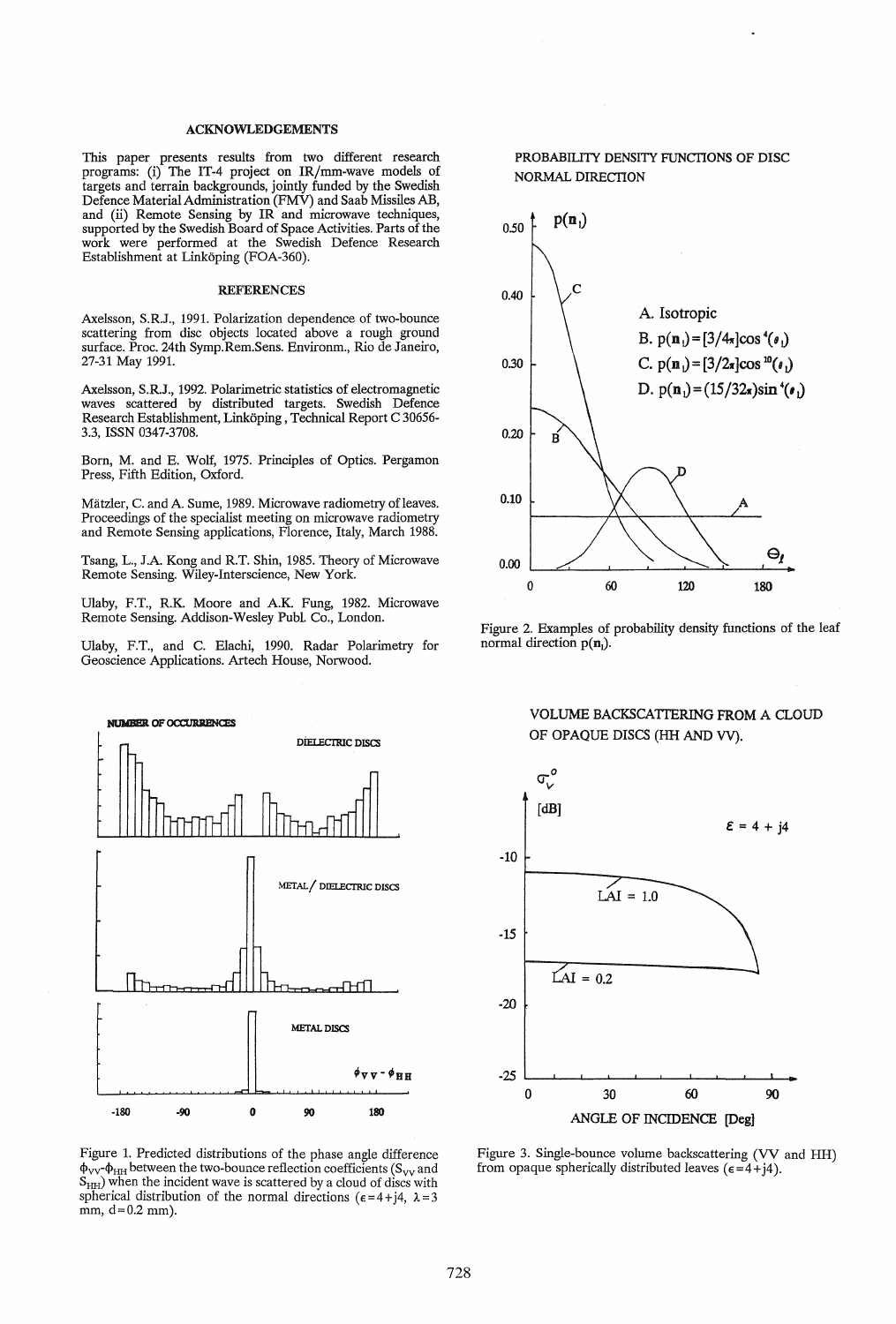# ACKNOWLEDGEMENTS

This paper presents results from two different research programs: (i) The IT-4 project on IR/mm-wave models of targets and terrain backgrounds, jointly funded by the Swedish Defence Material Administration (FMV) and Saab Missiles AB, and (ii) Remote Sensing by IR and microwave techniques, supported by the Swedish Board of Space Activities. Parts of the work were performed at the Swedish Defence Research Establishment at Linkoping (FOA-360).

#### **REFERENCES**

Axelsson, S.RJ., 1991. Polarization dependence of two-bounce scattering from disc objects located above a rough ground surface. Proc. 24th Symp.Rem.Sens. Environm., Rio de Janeiro, 27-31 May 1991.

Axelsson, S.RJ., 1992. Polarimetric statistics of electromagnetic waves scattered by distributed targets. Swedish Defence Research Establishment, Linkoping , Technical Report C 30656- 3.3, ISSN 0347-3708.

Born, M. and E. Wolf, 1975. Principles of Optics. Pergamon Press, Fifth Edition, Oxford.

Mätzler, C. and A. Sume, 1989. Microwave radiometry of leaves. Proceedings of the specialist meeting on microwave radiometry and Remote Sensing applications, Florence, Italy, March 1988.

Tsang, L., J.A. Kong and R.T. Shin, 1985. Theory of Microwave Remote Sensing. Wiley-Interscience, New York.

Ulaby, F.T., R.K. Moore and A.K. Fung, 1982. Microwave Remote Sensing. Addison-Wesley Publ. Co., London.

Ulaby, F.T., and C. Elachi, 1990. Radar Polarimetry for Geoscience Applications. Artech House, Norwood.



Figure 1. Predicted distributions of the phase angle difference  $\phi_{VV}$ - $\phi_{HH}$  between the two-bounce reflection coefficients (S<sub>VV</sub> and  $S<sub>HH</sub>$ ) when the incident wave is scattered by a cloud of discs with spherical distribution of the normal directions ( $\epsilon = 4 + j4$ ,  $\lambda = 3$ mm,  $d = 0.2$  mm).

# PROBABILITY DENSITY FUNCTIONS OF DISC NORMAL DIRECTION



Figure 2. Examples of probability density functions of the leaf normal direction  $p(n_1)$ .

# VOLUME BACKSCATTERING FROM A CLOUD OF OPAQUE DISCS (HH AND VV).



Figure 3. Single-bounce volume backscattering (VV and HH) from opaque spherically distributed leaves ( $\epsilon = 4 + i4$ ).